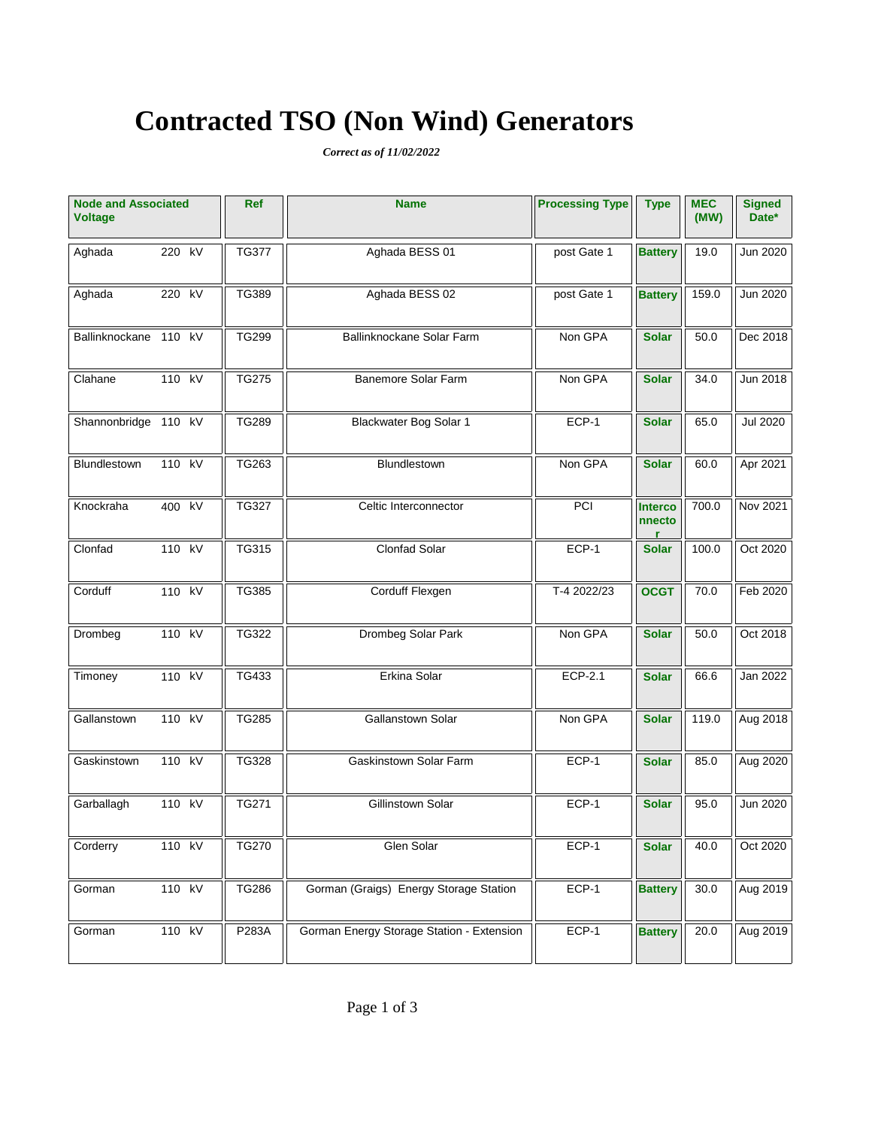# **Contracted TSO (Non Wind) Generators**

*Correct as of 11/02/2022*

| <b>Node and Associated</b><br><b>Voltage</b> |        | Ref | <b>Name</b>  | <b>Processing Type</b>                    | <b>Type</b> | <b>MEC</b><br>(MW) | <b>Signed</b><br>Date* |                 |
|----------------------------------------------|--------|-----|--------------|-------------------------------------------|-------------|--------------------|------------------------|-----------------|
| Aghada                                       | 220 kV |     | <b>TG377</b> | Aghada BESS 01                            | post Gate 1 | <b>Battery</b>     | 19.0                   | Jun 2020        |
| Aghada                                       | 220 kV |     | <b>TG389</b> | Aghada BESS 02                            | post Gate 1 | <b>Battery</b>     | 159.0                  | Jun 2020        |
| Ballinknockane 110 kV                        |        |     | <b>TG299</b> | Ballinknockane Solar Farm                 | Non GPA     | <b>Solar</b>       | 50.0                   | Dec 2018        |
| Clahane                                      | 110 kV |     | <b>TG275</b> | Banemore Solar Farm                       | Non GPA     | <b>Solar</b>       | 34.0                   | Jun 2018        |
| Shannonbridge 110 kV                         |        |     | <b>TG289</b> | Blackwater Bog Solar 1                    | ECP-1       | <b>Solar</b>       | 65.0                   | <b>Jul 2020</b> |
| Blundlestown                                 | 110 kV |     | TG263        | Blundlestown                              | Non GPA     | <b>Solar</b>       | 60.0                   | Apr 2021        |
| Knockraha                                    | 400 kV |     | <b>TG327</b> | Celtic Interconnector                     | PCI         | Interco<br>nnecto  | 700.0                  | Nov 2021        |
| Clonfad                                      | 110 kV |     | TG315        | Clonfad Solar                             | ECP-1       | <b>Solar</b>       | 100.0                  | Oct 2020        |
| Corduff                                      | 110 kV |     | <b>TG385</b> | Corduff Flexgen                           | T-4 2022/23 | <b>OCGT</b>        | 70.0                   | Feb 2020        |
| Drombeg                                      | 110 kV |     | TG322        | Drombeg Solar Park                        | Non GPA     | <b>Solar</b>       | 50.0                   | Oct 2018        |
| Timoney                                      | 110 kV |     | TG433        | Erkina Solar                              | ECP-2.1     | <b>Solar</b>       | 66.6                   | Jan 2022        |
| Gallanstown                                  | 110 kV |     | <b>TG285</b> | Gallanstown Solar                         | Non GPA     | <b>Solar</b>       | 119.0                  | Aug 2018        |
| Gaskinstown                                  | 110 kV |     | <b>TG328</b> | Gaskinstown Solar Farm                    | ECP-1       | <b>Solar</b>       | 85.0                   | Aug 2020        |
| Garballagh                                   | 110 kV |     | TG271        | Gillinstown Solar                         | ECP-1       | <b>Solar</b>       | 95.0                   | Jun 2020        |
| Corderry                                     | 110 kV |     | <b>TG270</b> | Glen Solar                                | ECP-1       | <b>Solar</b>       | 40.0                   | Oct 2020        |
| Gorman                                       | 110 kV |     | TG286        | Gorman (Graigs) Energy Storage Station    | ECP-1       | <b>Battery</b>     | 30.0                   | Aug 2019        |
| Gorman                                       | 110 kV |     | P283A        | Gorman Energy Storage Station - Extension | ECP-1       | <b>Battery</b>     | 20.0                   | Aug 2019        |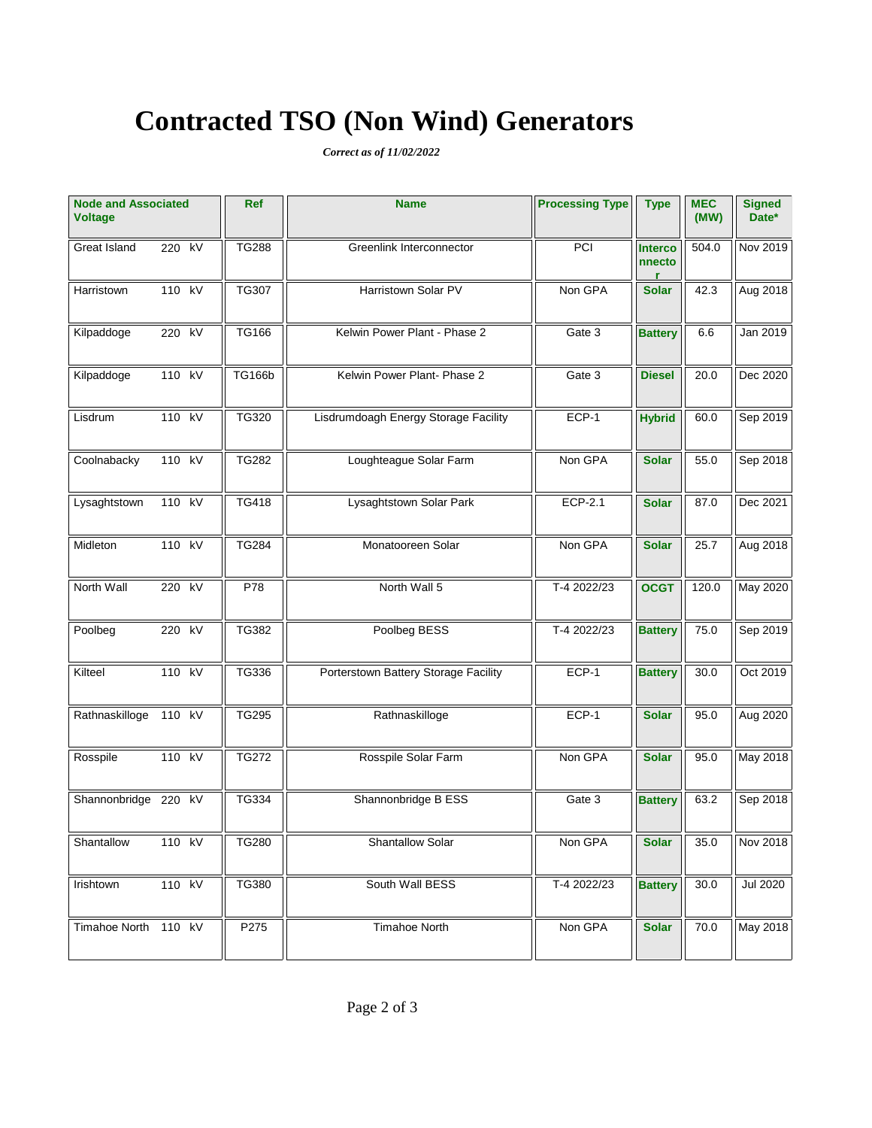# **Contracted TSO (Non Wind) Generators**

*Correct as of 11/02/2022*

| <b>Node and Associated</b><br><b>Voltage</b> |        |    | Ref           | <b>Name</b>                          | <b>Processing Type</b> | <b>Type</b>              | <b>MEC</b><br>(MW) | <b>Signed</b><br>Date* |
|----------------------------------------------|--------|----|---------------|--------------------------------------|------------------------|--------------------------|--------------------|------------------------|
| Great Island                                 | 220 kV |    | <b>TG288</b>  | Greenlink Interconnector             | PCI                    | <b>Interco</b><br>nnecto | 504.0              | Nov 2019               |
| Harristown                                   | 110 kV |    | <b>TG307</b>  | Harristown Solar PV                  | Non GPA                | <b>Solar</b>             | 42.3               | Aug 2018               |
| Kilpaddoge                                   | 220 kV |    | TG166         | Kelwin Power Plant - Phase 2         | Gate 3                 | <b>Battery</b>           | 6.6                | Jan 2019               |
| Kilpaddoge                                   | 110 kV |    | <b>TG166b</b> | Kelwin Power Plant- Phase 2          | Gate 3                 | <b>Diesel</b>            | 20.0               | Dec 2020               |
| Lisdrum                                      | 110 kV |    | TG320         | Lisdrumdoagh Energy Storage Facility | ECP-1                  | <b>Hybrid</b>            | 60.0               | Sep 2019               |
| Coolnabacky                                  | 110 kV |    | <b>TG282</b>  | Loughteague Solar Farm               | Non GPA                | <b>Solar</b>             | 55.0               | Sep 2018               |
| Lysaghtstown                                 | 110 kV |    | TG418         | Lysaghtstown Solar Park              | ECP-2.1                | <b>Solar</b>             | 87.0               | Dec 2021               |
| Midleton                                     | 110 kV |    | <b>TG284</b>  | Monatooreen Solar                    | Non GPA                | <b>Solar</b>             | 25.7               | Aug 2018               |
| North Wall                                   | 220 kV |    | P78           | North Wall 5                         | T-4 2022/23            | <b>OCGT</b>              | 120.0              | May 2020               |
| Poolbeg                                      | 220 kV |    | TG382         | Poolbeg BESS                         | T-4 2022/23            | <b>Battery</b>           | 75.0               | Sep 2019               |
| Kilteel                                      | 110 kV |    | TG336         | Porterstown Battery Storage Facility | ECP-1                  | <b>Battery</b>           | 30.0               | Oct 2019               |
| Rathnaskilloge                               | 110 kV |    | <b>TG295</b>  | Rathnaskilloge                       | ECP-1                  | <b>Solar</b>             | 95.0               | Aug 2020               |
| Rosspile                                     | 110 kV |    | <b>TG272</b>  | Rosspile Solar Farm                  | Non GPA                | <b>Solar</b>             | 95.0               | May 2018               |
| Shannonbridge 220                            |        | kV | TG334         | Shannonbridge B ESS                  | Gate 3                 | <b>Battery</b>           | 63.2               | Sep 2018               |
| Shantallow                                   | 110 kV |    | <b>TG280</b>  | Shantallow Solar                     | Non GPA                | <b>Solar</b>             | 35.0               | Nov 2018               |
| Irishtown                                    | 110 kV |    | TG380         | South Wall BESS                      | T-4 2022/23            | <b>Battery</b>           | 30.0               | <b>Jul 2020</b>        |
| Timahoe North                                | 110 kV |    | P275          | <b>Timahoe North</b>                 | Non GPA                | <b>Solar</b>             | 70.0               | May 2018               |